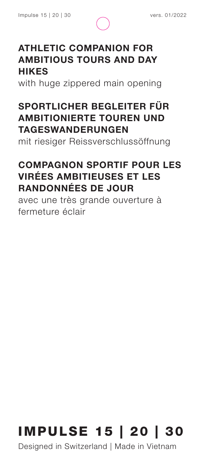

### **ATHLETIC COMPANION FOR AMBITIOUS TOURS AND DAY HIKES**

with huge zippered main opening

## **SPORTLICHER BEGLEITER FÜR AMBITIONIERTE TOUREN UND TAGESWANDERUNGEN**

mit riesiger Reissverschlussöffnung

## **COMPAGNON SPORTIF POUR LES VIRÉES AMBITIEUSES ET LES RANDONNÉES DE JOUR**

avec une très grande ouverture à fermeture éclair



Designed in Switzerland | Made in Vietnam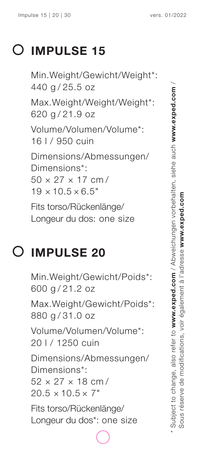## **IMPULSE 15**

Min.Weight/Gewicht/Weight\*: 440 g / 25.5 oz Max.Weight/Weight/Weight\*: 620 g / 21.9 oz Volume/Volumen/Volume\*: 16 l / 950 cuin Dimensions/Abmessungen/ Dimensions\*:  $50 \times 27 \times 17$  cm /  $19 \times 10.5 \times 6.5$ " Fits torso/Rückenlänge/ Longeur du dos: one size

## **IMPULSE 20**

Min.Weight/Gewicht/Poids\*: 600 g / 21.2 oz Max.Weight/Gewicht/Poids\*: 880 g / 31.0 oz Volume/Volumen/Volume\*: 20 l / 1250 cuin Dimensions/Abmessungen/ Dimensions\*:  $52 \times 27 \times 18$  cm /  $20.5 \times 10.5 \times 7"$ Fits torso/Rückenlänge/ Longeur du dos\*: one size

\* Subject to change, also refer to **www.exped.com** / Abweichungen vorbehalten, siehe auch **www.exped.com** / Subject to change, also refer to www.exped.com / Abweichungen vorbehalten, siehe auch www.exped.com Sous réserve de modifications, voir également à l'adresse **www.exped.com**  Sous réserve de modifications, voir également à l'adresse www.exped.com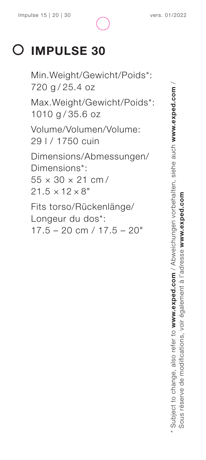# **IMPULSE 30**

Min.Weight/Gewicht/Poids\*: 720 g / 25.4 oz Max.Weight/Gewicht/Poids\*: 1010 g / 35.6 oz Volume/Volumen/Volume: 29 l / 1750 cuin Dimensions/Abmessungen/ Dimensions\*:  $55 \times 30 \times 21$  cm/  $21.5 \times 12 \times 8$ " Fits torso/Rückenlänge/ Longeur du dos\*:  $17.5 - 20$  cm  $/ 17.5 - 20$ "

\* Subject to change, also refer to **www.exped.com** / Abweichungen vorbehalten, siehe auch **www.exped.com** / Subject to change, also refer to www.exped.com / Abweichungen vorbehalten, siehe auch www.exped.com Sous réserve de modifications, voir également à l'adresse **www.exped.com**  Sous réserve de modifications, voir également à l'adresse www.exped.com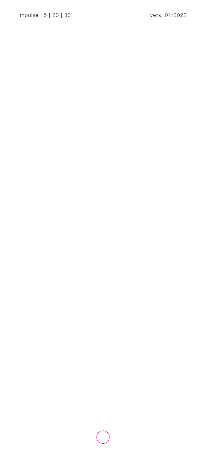Impulse 15 | 20 | 30 vers. 01/2022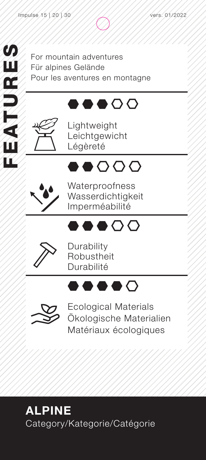For mountain adventures<br>
Für alpines Gelände<br>
Pour les aventures en monder<br>
Contre Lightweight<br>
Lightweight<br>
Lightweight<br>
Lightweight<br>
Lightweight<br>
Lightweight<br>
Lightweight Für alpines Gelände Pour les aventures en montagne



Lightweight Leichtgewicht Légèreté



Waterproofness Wasserdichtigkeit Imperméabilité





Durability Robustheit Durabilité

# $\bullet\bullet\bullet\bullet\circ$



Ecological Materials Ökologische Materialien Matériaux écologiques

## **ALPINE** Category/Kategorie/Catégorie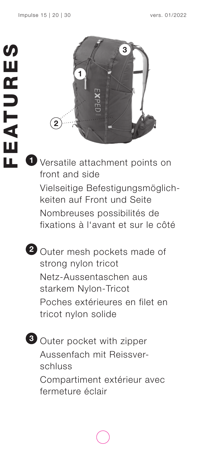

- **1** Versatile attachment points on front and side Vielseitige Befestigungsmöglichkeiten auf Front und Seite Nombreuses possibilités de fixations à l'avant et sur le côté
- **2** Outer mesh pockets made of strong nylon tricot Netz-Aussentaschen aus starkem Nylon-Tricot Poches extérieures en filet en tricot nylon solide
- 

**3** Outer pocket with zipper Aussenfach mit Reissverschluss Compartiment extérieur avec fermeture éclair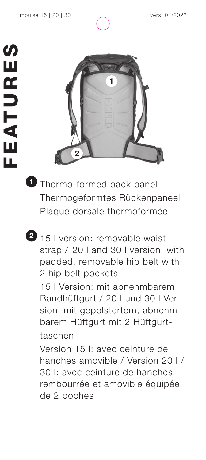





**1** Thermo-formed back panel Thermogeformtes Rückenpaneel Plaque dorsale thermoformée

2 15 I version: removable waist strap / 20 l and 30 l version: with padded, removable hip belt with 2 hip belt pockets

15 l Version: mit abnehmbarem Bandhüftgurt / 20 l und 30 l Version: mit gepolstertem, abnehmbarem Hüftgurt mit 2 Hüftgurttaschen

Version 15 l: avec ceinture de hanches amovible / Version 20 l / 30 l: avec ceinture de hanches rembourrée et amovible équipée de 2 poches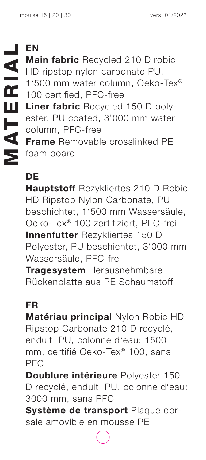**Main fabric** Recycled 210 D robic HD ripstop nylon carbonate PU, 1'500 mm water column, Oeko-Tex ® 100 certified, PFC-free **Liner fabric** Recycled 150 D poly ester, PU coated, 3'000 mm water column, PFC-free **Frame** Removable crosslinked PE foam board

### **DE**

**Hauptstoff** Rezykliertes 210 D Robic HD Ripstop Nylon Carbonate, PU beschichtet, 1'500 mm Wassersäule, Oeko-Tex ® 100 zertifiziert, PFC-frei **Innenfutter** Rezykliertes 150 D Polyester, PU beschichtet, 3'000 mm Wassersäule, PFC-frei **Tragesystem** Herausnehmbare Rückenplatte aus PE Schaumstoff

### **FR**

**Matériau principal** Nylon Robic HD Ripstop Carbonate 210 D recyclé, enduit PU, colonne d'eau: 1500 mm, certifié Oeko-Tex ® 100, sans PFC

**Doublure intérieure** Polyester 150 D recyclé, enduit PU, colonne d'eau: 3000 mm, sans PFC

**Système de transport** Plaque dor sale amovible en mousse PE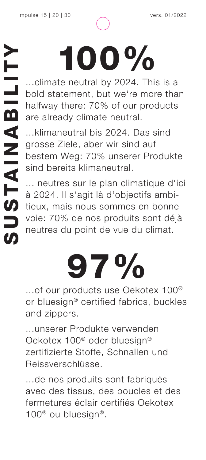# 100%

...climate neutral by 2024. This is a bold statement, but we're more than halfway there: 70% of our products are already climate neutral.

...klimaneutral bis 2024. Das sind grosse Ziele, aber wir sind auf bestem Weg: 70% unserer Produkte sind bereits klimaneutral.

... neutres sur le plan climatique d'ici à 2024. Il s'agit là d'objectifs ambitieux, mais nous sommes en bonne voie: 70% de nos produits sont déjà neutres du point de vue du climat. Superior Contract of 120 lses is 120 lses to 12022<br>
Superior Contract and the methal of 12022<br>
Superior Contract and Halfway there: 70% of our products<br>
are already climate neutral.<br>
Superiors are already climate neutral.<br>

# 97%

...of our products use Oekotex 100® or bluesign® certified fabrics, buckles and zippers.

...unserer Produkte verwenden Oekotex 100® oder bluesign® zertifizierte Stoffe, Schnallen und Reissverschlüsse.

...de nos produits sont fabriqués avec des tissus, des boucles et des fermetures éclair certifiés Oekotex 100® ou bluesign®.